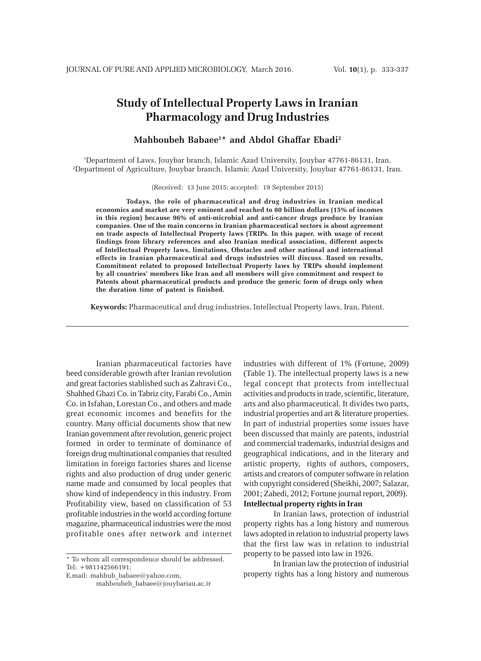# **Study of Intellectual Property Laws in Iranian Pharmacology and Drug Industries**

### **Mahboubeh Babaee1 \* and Abdol Ghaffar Ebadi2**

1 Department of Laws, Jouybar branch, Islamic Azad University, Jouybar 47761-86131, Iran. 2 Department of Agriculture, Jouybar branch, Islamic Azad University, Jouybar 47761-86131, Iran.

(Received: 13 June 2015; accepted: 19 September 2015)

**Todays, the role of pharmaceutical and drug industries in Iranian medical economics and market are very eminent and reached to 80 billion dollars (15% of incomes in this region) because 96% of anti-microbial and anti-cancer drugs produce by Iranian companies. One of the main concerns in Iranian pharmaceutical sectors is about agreement on trade aspects of Intellectual Property laws (TRIPs. In this paper, with usage of recent findings from library references and also Iranian medical association, different aspects of Intellectual Property laws, limitations, Obstacles and other national and international effects in Iranian pharmaceutical and drugs industries will discuss. Based on results, Commitment related to proposed Intellectual Property laws by TRIPs should implement by all countries' members like Iran and all members will give commitment and respect to Patents about pharmaceutical products and produce the generic form of drugs only when the duration time of patent is finished.**

**Keywords:** Pharmaceutical and drug industries, Intellectual Property laws, Iran, Patent.

Iranian pharmaceutical factories have beed considerable growth after Iranian revolution and great factories stablished such as Zahravi Co., Shahhed Ghazi Co. in Tabriz city, Farabi Co., Amin Co. in Isfahan, Lorestan Co., and others and made great economic incomes and benefits for the country. Many official documents show that new Iranian government after revolution, generic project formed in order to terminate of dominance of foreign drug multinational companies that resulted limitation in foreign factories shares and license rights and also production of drug under generic name made and consumed by local peoples that show kind of independency in this industry. From Profitability view, based on classification of 53 profitable industries in the world according fortune magazine, pharmaceutical industries were the most profitable ones after network and internet

E.mail: mahbub\_babaee@yahoo.com, mahboubeh\_babaee@jouybariau.ac.ir industries with different of 1% (Fortune, 2009) (Table 1). The intellectual property laws is a new legal concept that protects from intellectual activities and products in trade, scientific, literature, arts and also pharmaceutical. It divides two parts, industrial properties and art & literature properties. In part of industrial properties some issues have been discussed that mainly are patents, industrial and commercial trademarks, industrial designs and geographical indications, and in the literary and artistic property, rights of authors, composers, artists and creators of computer software in relation with copyright considered (Sheikhi, 2007; Salazar, 2001; Zahedi, 2012; Fortune journal report, 2009). **Intellectual property rights in Iran**

In Iranian laws, protection of industrial property rights has a long history and numerous laws adopted in relation to industrial property laws that the first law was in relation to industrial property to be passed into law in 1926.

In Iranian law the protection of industrial property rights has a long history and numerous

<sup>\*</sup> To whom all correspondence should be addressed. Tel: +981142566191;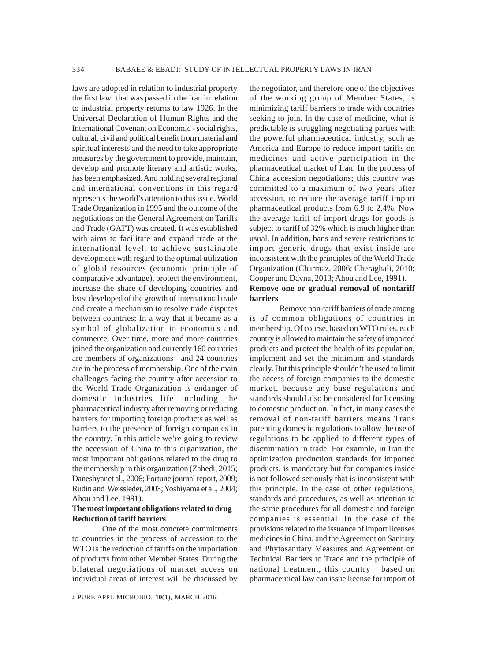laws are adopted in relation to industrial property the first law that was passed in the Iran in relation to industrial property returns to law 1926. In the Universal Declaration of Human Rights and the International Covenant on Economic - social rights, cultural, civil and political benefit from material and spiritual interests and the need to take appropriate measures by the government to provide, maintain, develop and promote literary and artistic works, has been emphasized. And holding several regional and international conventions in this regard represents the world's attention to this issue. World Trade Organization in 1995 and the outcome of the negotiations on the General Agreement on Tariffs and Trade (GATT) was created. It was established with aims to facilitate and expand trade at the international level, to achieve sustainable development with regard to the optimal utilization of global resources (economic principle of comparative advantage), protect the environment, increase the share of developing countries and least developed of the growth of international trade and create a mechanism to resolve trade disputes between countries; In a way that it became as a symbol of globalization in economics and commerce. Over time, more and more countries joined the organization and currently 160 countries are members of organizations and 24 countries are in the process of membership. One of the main challenges facing the country after accession to the World Trade Organization is endanger of domestic industries life including the pharmaceutical industry after removing or reducing barriers for importing foreign products as well as barriers to the presence of foreign companies in the country. In this article we're going to review the accession of China to this organization, the most important obligations related to the drug to the membership in this organization (Zahedi, 2015; Daneshyar et al., 2006; Fortune journal report, 2009; Rudin and Weissleder, 2003; Yoshiyama et al., 2004; Ahou and Lee, 1991).

### **The most important obligations related to drug Reduction of tariff barriers**

One of the most concrete commitments to countries in the process of accession to the WTO is the reduction of tariffs on the importation of products from other Member States. During the bilateral negotiations of market access on individual areas of interest will be discussed by

the negotiator, and therefore one of the objectives of the working group of Member States, is minimizing tariff barriers to trade with countries seeking to join. In the case of medicine, what is predictable is struggling negotiating parties with the powerful pharmaceutical industry, such as America and Europe to reduce import tariffs on medicines and active participation in the pharmaceutical market of Iran. In the process of China accession negotiations; this country was committed to a maximum of two years after accession, to reduce the average tariff import pharmaceutical products from 6.9 to 2.4%. Now the average tariff of import drugs for goods is subject to tariff of 32% which is much higher than usual. In addition, bans and severe restrictions to import generic drugs that exist inside are inconsistent with the principles of the World Trade Organization (Charmaz, 2006; Cheraghali, 2010; Cooper and Dayna, 2013; Ahou and Lee, 1991). **Remove one or gradual removal of nontariff barriers**

Remove non-tariff barriers of trade among is of common obligations of countries in membership. Of course, based on WTO rules, each country is allowed to maintain the safety of imported products and protect the health of its population, implement and set the minimum and standards clearly. But this principle shouldn't be used to limit the access of foreign companies to the domestic market, because any base regulations and standards should also be considered for licensing to domestic production. In fact, in many cases the removal of non-tariff barriers means Trans parenting domestic regulations to allow the use of regulations to be applied to different types of discrimination in trade. For example, in Iran the optimization production standards for imported products, is mandatory but for companies inside is not followed seriously that is inconsistent with this principle. In the case of other regulations, standards and procedures, as well as attention to the same procedures for all domestic and foreign companies is essential. In the case of the provisions related to the issuance of import licenses medicines in China, and the Agreement on Sanitary and Phytosanitary Measures and Agreement on Technical Barriers to Trade and the principle of national treatment, this country based on pharmaceutical law can issue license for import of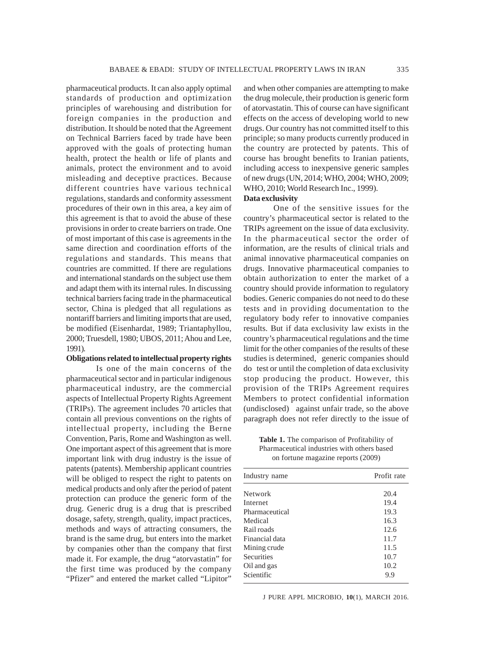pharmaceutical products. It can also apply optimal standards of production and optimization principles of warehousing and distribution for foreign companies in the production and distribution. It should be noted that the Agreement on Technical Barriers faced by trade have been approved with the goals of protecting human health, protect the health or life of plants and animals, protect the environment and to avoid misleading and deceptive practices. Because different countries have various technical regulations, standards and conformity assessment procedures of their own in this area, a key aim of this agreement is that to avoid the abuse of these provisions in order to create barriers on trade. One of most important of this case is agreements in the same direction and coordination efforts of the regulations and standards. This means that countries are committed. If there are regulations and international standards on the subject use them and adapt them with its internal rules. In discussing technical barriers facing trade in the pharmaceutical sector, China is pledged that all regulations as nontariff barriers and limiting imports that are used, be modified (Eisenhardat, 1989; Triantaphyllou, 2000; Truesdell, 1980; UBOS, 2011; Ahou and Lee, 1991).

#### **Obligations related to intellectual property rights**

Is one of the main concerns of the pharmaceutical sector and in particular indigenous pharmaceutical industry, are the commercial aspects of Intellectual Property Rights Agreement (TRIPs). The agreement includes 70 articles that contain all previous conventions on the rights of intellectual property, including the Berne Convention, Paris, Rome and Washington as well. One important aspect of this agreement that is more important link with drug industry is the issue of patents (patents). Membership applicant countries will be obliged to respect the right to patents on medical products and only after the period of patent protection can produce the generic form of the drug. Generic drug is a drug that is prescribed dosage, safety, strength, quality, impact practices, methods and ways of attracting consumers, the brand is the same drug, but enters into the market by companies other than the company that first made it. For example, the drug "atorvastatin" for the first time was produced by the company "Pfizer" and entered the market called "Lipitor"

and when other companies are attempting to make the drug molecule, their production is generic form of atorvastatin. This of course can have significant effects on the access of developing world to new drugs. Our country has not committed itself to this principle; so many products currently produced in the country are protected by patents. This of course has brought benefits to Iranian patients, including access to inexpensive generic samples of new drugs (UN, 2014; WHO, 2004; WHO, 2009; WHO, 2010; World Research Inc., 1999). **Data exclusivity**

## One of the sensitive issues for the country's pharmaceutical sector is related to the TRIPs agreement on the issue of data exclusivity. In the pharmaceutical sector the order of information, are the results of clinical trials and animal innovative pharmaceutical companies on drugs. Innovative pharmaceutical companies to obtain authorization to enter the market of a country should provide information to regulatory bodies. Generic companies do not need to do these tests and in providing documentation to the regulatory body refer to innovative companies results. But if data exclusivity law exists in the country's pharmaceutical regulations and the time limit for the other companies of the results of these studies is determined, generic companies should do test or until the completion of data exclusivity stop producing the product. However, this provision of the TRIPs Agreement requires Members to protect confidential information (undisclosed) against unfair trade, so the above paragraph does not refer directly to the issue of

**Table 1.** The comparison of Profitability of Pharmaceutical industries with others based on fortune magazine reports (2009)

| Profit rate |
|-------------|
| 20.4        |
| 19.4        |
| 19.3        |
| 16.3        |
| 12.6        |
| 11.7        |
| 11.5        |
| 10.7        |
| 10.2        |
| 9.9         |
|             |

J PURE APPL MICROBIO*,* **10**(1), MARCH 2016.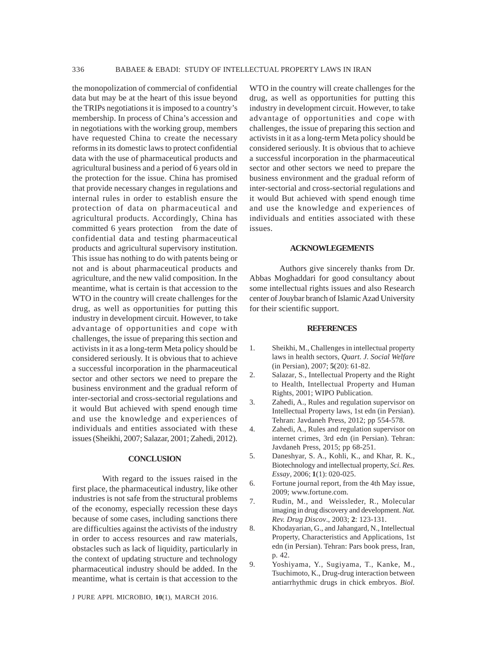the monopolization of commercial of confidential data but may be at the heart of this issue beyond the TRIPs negotiations it is imposed to a country's membership. In process of China's accession and in negotiations with the working group, members have requested China to create the necessary reforms in its domestic laws to protect confidential data with the use of pharmaceutical products and agricultural business and a period of 6 years old in the protection for the issue. China has promised that provide necessary changes in regulations and internal rules in order to establish ensure the protection of data on pharmaceutical and agricultural products. Accordingly, China has committed 6 years protection from the date of confidential data and testing pharmaceutical products and agricultural supervisory institution. This issue has nothing to do with patents being or not and is about pharmaceutical products and agriculture, and the new valid composition. In the meantime, what is certain is that accession to the WTO in the country will create challenges for the drug, as well as opportunities for putting this industry in development circuit. However, to take advantage of opportunities and cope with challenges, the issue of preparing this section and activists in it as a long-term Meta policy should be considered seriously. It is obvious that to achieve a successful incorporation in the pharmaceutical sector and other sectors we need to prepare the business environment and the gradual reform of inter-sectorial and cross-sectorial regulations and it would But achieved with spend enough time and use the knowledge and experiences of individuals and entities associated with these issues (Sheikhi, 2007; Salazar, 2001; Zahedi, 2012).

### **CONCLUSION**

With regard to the issues raised in the first place, the pharmaceutical industry, like other industries is not safe from the structural problems of the economy, especially recession these days because of some cases, including sanctions there are difficulties against the activists of the industry in order to access resources and raw materials, obstacles such as lack of liquidity, particularly in the context of updating structure and technology pharmaceutical industry should be added. In the meantime, what is certain is that accession to the

J PURE APPL MICROBIO*,* **10**(1), MARCH 2016.

WTO in the country will create challenges for the drug, as well as opportunities for putting this industry in development circuit. However, to take advantage of opportunities and cope with challenges, the issue of preparing this section and activists in it as a long-term Meta policy should be considered seriously. It is obvious that to achieve a successful incorporation in the pharmaceutical sector and other sectors we need to prepare the business environment and the gradual reform of inter-sectorial and cross-sectorial regulations and it would But achieved with spend enough time and use the knowledge and experiences of individuals and entities associated with these issues.

### **ACKNOWLEGEMENTS**

Authors give sincerely thanks from Dr. Abbas Moghaddari for good consultancy about some intellectual rights issues and also Research center of Jouybar branch of Islamic Azad University for their scientific support.

#### **REFERENCES**

- 1. Sheikhi, M., Challenges in intellectual property laws in health sectors, *Quart. J. Social Welfare* (in Persian), 2007; **5**(20): 61-82.
- 2. Salazar, S., Intellectual Property and the Right to Health, Intellectual Property and Human Rights, 2001; WIPO Publication.
- 3. Zahedi, A., Rules and regulation supervisor on Intellectual Property laws, 1st edn (in Persian). Tehran: Javdaneh Press, 2012; pp 554-578.
- 4. Zahedi, A., Rules and regulation supervisor on internet crimes, 3rd edn (in Persian). Tehran: Javdaneh Press, 2015; pp 68-251.
- 5. Daneshyar, S. A., Kohli, K., and Khar, R. K., Biotechnology and intellectual property, *Sci. Res. Essay*, 2006; **1**(1): 020-025.
- 6. Fortune journal report, from the 4th May issue, 2009; www.fortune.com.
- 7. Rudin, M., and Weissleder, R., Molecular imaging in drug discovery and development. *Nat. Rev. Drug Discov*., 2003; **2**: 123-131.
- 8. Khodayarian, G., and Jahangard, N., Intellectual Property, Characteristics and Applications, 1st edn (in Persian). Tehran: Pars book press, Iran, p. 42.
- 9. Yoshiyama, Y., Sugiyama, T., Kanke, M., Tsuchimoto, K., Drug-drug interaction between antiarrhythmic drugs in chick embryos. *Biol.*